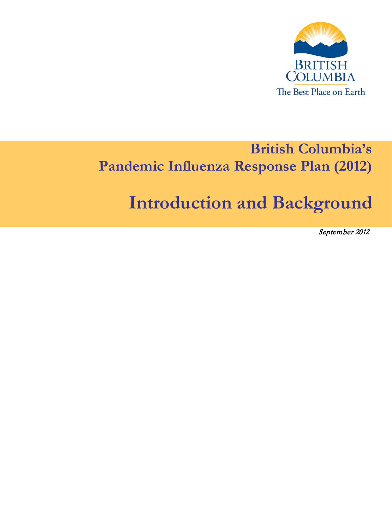

## **British Columbia's Pandemic Influenza Response Plan (2012)**

# **Introduction and Background**

September 2012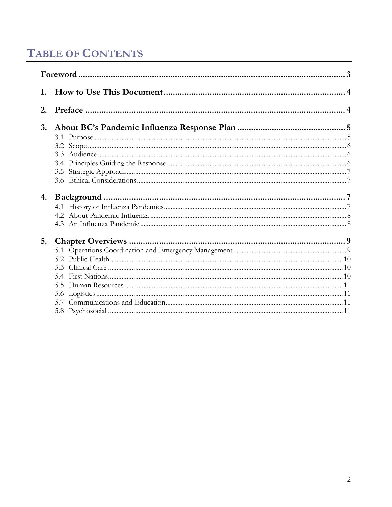## **TABLE OF CONTENTS**

| 1. |  |  |  |  |
|----|--|--|--|--|
| 2. |  |  |  |  |
| 3. |  |  |  |  |
|    |  |  |  |  |
|    |  |  |  |  |
|    |  |  |  |  |
|    |  |  |  |  |
|    |  |  |  |  |
|    |  |  |  |  |
| 4. |  |  |  |  |
|    |  |  |  |  |
|    |  |  |  |  |
|    |  |  |  |  |
| 5. |  |  |  |  |
|    |  |  |  |  |
|    |  |  |  |  |
|    |  |  |  |  |
|    |  |  |  |  |
|    |  |  |  |  |
|    |  |  |  |  |
|    |  |  |  |  |
|    |  |  |  |  |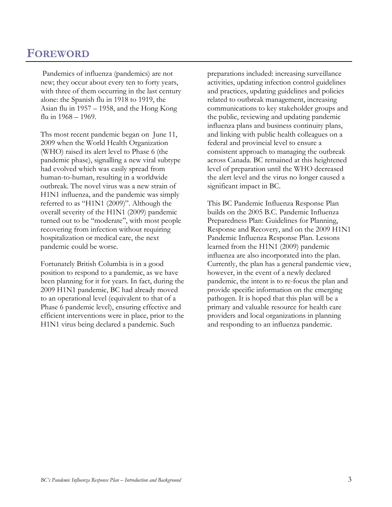### <span id="page-2-0"></span>**FOREWORD**

Pandemics of influenza (pandemics) are not new; they occur about every ten to forty years, with three of them occurring in the last century alone: the Spanish flu in 1918 to 1919, the Asian flu in 1957 – 1958, and the Hong Kong flu in 1968 – 1969.

Ths most recent pandemic began on June 11, 2009 when the World Health Organization (WHO) raised its alert level to Phase 6 (the pandemic phase), signalling a new viral subtype had evolved which was easily spread from human-to-human, resulting in a worldwide outbreak. The novel virus was a new strain of H1N1 influenza, and the pandemic was simply referred to as "H1N1 (2009)". Although the overall severity of the H1N1 (2009) pandemic turned out to be "moderate", with most people recovering from infection without requiring hospitalization or medical care, the next pandemic could be worse.

Fortunately British Columbia is in a good position to respond to a pandemic, as we have been planning for it for years. In fact, during the 2009 H1N1 pandemic, BC had already moved to an operational level (equivalent to that of a Phase 6 pandemic level), ensuring effective and efficient interventions were in place, prior to the H1N1 virus being declared a pandemic. Such

preparations included: increasing surveillance activities, updating infection control guidelines and practices, updating guidelines and policies related to outbreak management, increasing communications to key stakeholder groups and the public, reviewing and updating pandemic influenza plans and business continuity plans, and linking with public health colleagues on a federal and provincial level to ensure a consistent approach to managing the outbreak across Canada. BC remained at this heightened level of preparation until the WHO decreased the alert level and the virus no longer caused a significant impact in BC.

This BC Pandemic Influenza Response Plan builds on the 2005 B.C. Pandemic Influenza Preparedness Plan: Guidelines for Planning, Response and Recovery, and on the 2009 H1N1 Pandemic Influenza Response Plan. Lessons learned from the H1N1 (2009) pandemic influenza are also incorporated into the plan. Currently, the plan has a general pandemic view, however, in the event of a newly declared pandemic, the intent is to re-focus the plan and provide specific information on the emerging pathogen. It is hoped that this plan will be a primary and valuable resource for health care providers and local organizations in planning and responding to an influenza pandemic.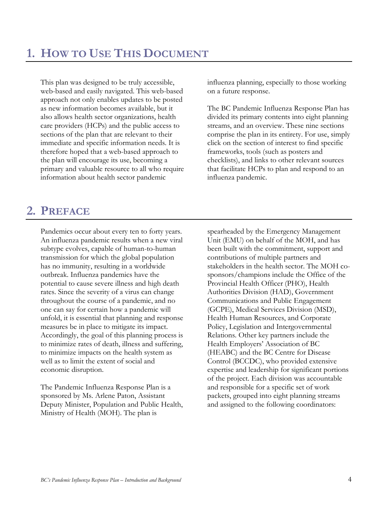<span id="page-3-0"></span>This plan was designed to be truly accessible, web-based and easily navigated. This web-based approach not only enables updates to be posted as new information becomes available, but it also allows health sector organizations, health care providers (HCPs) and the public access to sections of the plan that are relevant to their immediate and specific information needs. It is therefore hoped that a web-based approach to the plan will encourage its use, becoming a primary and valuable resource to all who require information about health sector pandemic

influenza planning, especially to those working on a future response.

The BC Pandemic Influenza Response Plan has divided its primary contents into eight planning streams, and an overview. These nine sections comprise the plan in its entirety. For use, simply click on the section of interest to find specific frameworks, tools (such as posters and checklists), and links to other relevant sources that facilitate HCPs to plan and respond to an influenza pandemic.

## <span id="page-3-1"></span>**2. PREFACE**

Pandemics occur about every ten to forty years. An influenza pandemic results when a new viral subtype evolves, capable of human-to-human transmission for which the global population has no immunity, resulting in a worldwide outbreak. Influenza pandemics have the potential to cause severe illness and high death rates. Since the severity of a virus can change throughout the course of a pandemic, and no one can say for certain how a pandemic will unfold, it is essential that planning and response measures be in place to mitigate its impact. Accordingly, the goal of this planning process is to minimize rates of death, illness and suffering, to minimize impacts on the health system as well as to limit the extent of social and economic disruption.

The Pandemic Influenza Response Plan is a sponsored by Ms. Arlene Paton, Assistant Deputy Minister, Population and Public Health, Ministry of Health (MOH). The plan is

spearheaded by the Emergency Management Unit (EMU) on behalf of the MOH, and has been built with the commitment, support and contributions of multiple partners and stakeholders in the health sector. The MOH cosponsors/champions include the Office of the Provincial Health Officer (PHO), Health Authorities Division (HAD), Government Communications and Public Engagement (GCPE), Medical Services Division (MSD), Health Human Resources, and Corporate Policy, Legislation and Intergovernmental Relations. Other key partners include the Health Employers' Association of BC (HEABC) and the BC Centre for Disease Control (BCCDC), who provided extensive expertise and leadership for significant portions of the project. Each division was accountable and responsible for a specific set of work packets, grouped into eight planning streams and assigned to the following coordinators: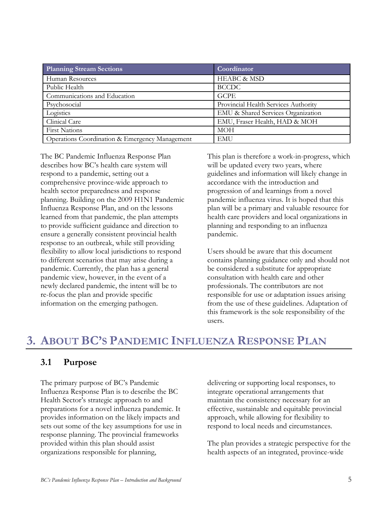| <b>Planning Stream Sections</b>                | Coordinator                          |
|------------------------------------------------|--------------------------------------|
| Human Resources                                | <b>HEABC &amp; MSD</b>               |
| Public Health                                  | <b>BCCDC</b>                         |
| Communications and Education                   | <b>GCPE</b>                          |
| Psychosocial                                   | Provincial Health Services Authority |
| Logistics                                      | EMU & Shared Services Organization   |
| Clinical Care                                  | EMU, Fraser Health, HAD & MOH        |
| <b>First Nations</b>                           | <b>MOH</b>                           |
| Operations Coordination & Emergency Management | <b>EMU</b>                           |

The BC Pandemic Influenza Response Plan describes how BC's health care system will respond to a pandemic, setting out a comprehensive province-wide approach to health sector preparedness and response planning. Building on the 2009 H1N1 Pandemic Influenza Response Plan, and on the lessons learned from that pandemic, the plan attempts to provide sufficient guidance and direction to ensure a generally consistent provincial health response to an outbreak, while still providing flexibility to allow local jurisdictions to respond to different scenarios that may arise during a pandemic. Currently, the plan has a general pandemic view, however, in the event of a newly declared pandemic, the intent will be to re-focus the plan and provide specific information on the emerging pathogen.

This plan is therefore a work-in-progress, which will be updated every two years, where guidelines and information will likely change in accordance with the introduction and progression of and learnings from a novel pandemic influenza virus. It is hoped that this plan will be a primary and valuable resource for health care providers and local organizations in planning and responding to an influenza pandemic.

Users should be aware that this document contains planning guidance only and should not be considered a substitute for appropriate consultation with health care and other professionals. The contributors are not responsible for use or adaptation issues arising from the use of these guidelines. Adaptation of this framework is the sole responsibility of the users.

## <span id="page-4-0"></span>**3. ABOUT BC'S PANDEMIC INFLUENZA RESPONSE PLAN**

#### <span id="page-4-1"></span>**3.1 Purpose**

The primary purpose of BC's Pandemic Influenza Response Plan is to describe the BC Health Sector's strategic approach to and preparations for a novel influenza pandemic. It provides information on the likely impacts and sets out some of the key assumptions for use in response planning. The provincial frameworks provided within this plan should assist organizations responsible for planning,

delivering or supporting local responses, to integrate operational arrangements that maintain the consistency necessary for an effective, sustainable and equitable provincial approach, while allowing for flexibility to respond to local needs and circumstances.

The plan provides a strategic perspective for the health aspects of an integrated, province-wide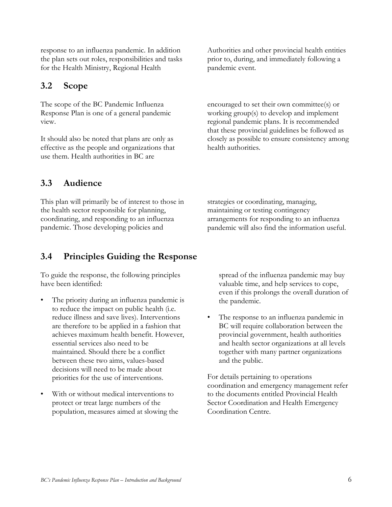<span id="page-5-0"></span>for the Health Ministry, Regional Health **3.2 Scope**

response to an influenza pandemic. In addition the plan sets out roles, responsibilities and tasks

The scope of the BC Pandemic Influenza Response Plan is one of a general pandemic view.

It should also be noted that plans are only as effective as the people and organizations that use them. Health authorities in BC are

Authorities and other provincial health entities prior to, during, and immediately following a pandemic event.

encouraged to set their own committee(s) or working group(s) to develop and implement regional pandemic plans. It is recommended that these provincial guidelines be followed as closely as possible to ensure consistency among health authorities.

#### <span id="page-5-1"></span>**3.3 Audience**

This plan will primarily be of interest to those in the health sector responsible for planning, coordinating, and responding to an influenza pandemic. Those developing policies and

strategies or coordinating, managing, maintaining or testing contingency arrangements for responding to an influenza pandemic will also find the information useful.

#### <span id="page-5-2"></span>**3.4 Principles Guiding the Response**

To guide the response, the following principles have been identified:

- The priority during an influenza pandemic is to reduce the impact on public health (i.e. reduce illness and save lives). Interventions are therefore to be applied in a fashion that achieves maximum health benefit. However, essential services also need to be maintained. Should there be a conflict between these two aims, values-based decisions will need to be made about priorities for the use of interventions.
- With or without medical interventions to protect or treat large numbers of the population, measures aimed at slowing the

spread of the influenza pandemic may buy valuable time, and help services to cope, even if this prolongs the overall duration of the pandemic.

• The response to an influenza pandemic in BC will require collaboration between the provincial government, health authorities and health sector organizations at all levels together with many partner organizations and the public.

For details pertaining to operations coordination and emergency management refer to the documents entitled Provincial Health Sector Coordination and Health Emergency Coordination Centre.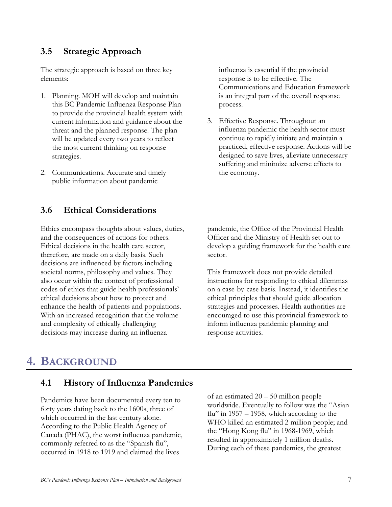#### <span id="page-6-0"></span>**3.5 Strategic Approach**

The strategic approach is based on three key elements:

- 1. Planning. MOH will develop and maintain this BC Pandemic Influenza Response Plan to provide the provincial health system with current information and guidance about the threat and the planned response. The plan will be updated every two years to reflect the most current thinking on response strategies.
- 2. Communications. Accurate and timely public information about pandemic

#### <span id="page-6-1"></span>**3.6 Ethical Considerations**

Ethics encompass thoughts about values, duties, and the consequences of actions for others. Ethical decisions in the health care sector, therefore, are made on a daily basis. Such decisions are influenced by factors including societal norms, philosophy and values. They also occur within the context of professional codes of ethics that guide health professionals' ethical decisions about how to protect and enhance the health of patients and populations. With an increased recognition that the volume and complexity of ethically challenging decisions may increase during an influenza

influenza is essential if the provincial response is to be effective. The Communications and Education framework is an integral part of the overall response process.

3. Effective Response. Throughout an influenza pandemic the health sector must continue to rapidly initiate and maintain a practiced, effective response. Actions will be designed to save lives, alleviate unnecessary suffering and minimize adverse effects to the economy.

pandemic, the Office of the Provincial Health Officer and the Ministry of Health set out to develop a guiding framework for the health care sector.

This framework does not provide detailed instructions for responding to ethical dilemmas on a case-by-case basis. Instead, it identifies the ethical principles that should guide allocation strategies and processes. Health authorities are encouraged to use this provincial framework to inform influenza pandemic planning and response activities.

## <span id="page-6-2"></span>**4. BACKGROUND**

#### <span id="page-6-3"></span>**4.1 History of Influenza Pandemics**

Pandemics have been documented every ten to forty years dating back to the 1600s, three of which occurred in the last century alone. According to the Public Health Agency of Canada (PHAC), the worst influenza pandemic, commonly referred to as the "Spanish flu", occurred in 1918 to 1919 and claimed the lives

of an estimated 20 – 50 million people worldwide. Eventually to follow was the "Asian flu" in  $1957 - 1958$ , which according to the WHO killed an estimated 2 million people; and the "Hong Kong flu" in 1968-1969, which resulted in approximately 1 million deaths. During each of these pandemics, the greatest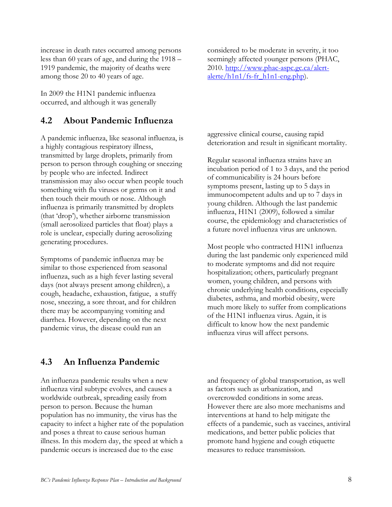increase in death rates occurred among persons less than 60 years of age, and during the 1918 – 1919 pandemic, the majority of deaths were among those 20 to 40 years of age.

In 2009 the H1N1 pandemic influenza occurred, and although it was generally

#### <span id="page-7-0"></span>**4.2 About Pandemic Influenza**

A pandemic influenza, like seasonal influenza, is a highly contagious respiratory illness, transmitted by large droplets, primarily from person to person through coughing or sneezing by people who are infected. Indirect transmission may also occur when people touch something with flu viruses or germs on it and then touch their mouth or nose. Although influenza is primarily transmitted by droplets (that 'drop'), whether airborne transmission (small aerosolized particles that float) plays a role is unclear, especially during aerosolizing generating procedures.

Symptoms of pandemic influenza may be similar to those experienced from seasonal influenza, such as a high fever lasting several days (not always present among children), a cough, headache, exhaustion, fatigue, a stuffy nose, sneezing, a sore throat, and for children there may be accompanying vomiting and diarrhea. However, depending on the next pandemic virus, the disease could run an

considered to be moderate in severity, it too seemingly affected younger persons (PHAC, 2010. [http://www.phac-aspc.gc.ca/alert-](http://www.phac-aspc.gc.ca/alert-alerte/h1n1/fs-fr_h1n1-eng.php) $\frac{\text{alette}/\text{h1n1}/\text{fs-fr}}{\text{h1n1-eng.php}}$ .

aggressive clinical course, causing rapid deterioration and result in significant mortality.

Regular seasonal influenza strains have an incubation period of 1 to 3 days, and the period of communicability is 24 hours before symptoms present, lasting up to 5 days in immunocompetent adults and up to 7 days in young children. Although the last pandemic influenza, H1N1 (2009), followed a similar course, the epidemiology and characteristics of a future novel influenza virus are unknown.

Most people who contracted H1N1 influenza during the last pandemic only experienced mild to moderate symptoms and did not require hospitalization; others, particularly pregnant women, young children, and persons with chronic underlying health conditions, especially diabetes, asthma, and morbid obesity, were much more likely to suffer from complications of the H1N1 influenza virus. Again, it is difficult to know how the next pandemic influenza virus will affect persons.

#### <span id="page-7-1"></span>**4.3 An Influenza Pandemic**

An influenza pandemic results when a new influenza viral subtype evolves, and causes a worldwide outbreak, spreading easily from person to person. Because the human population has no immunity, the virus has the capacity to infect a higher rate of the population and poses a threat to cause serious human illness. In this modern day, the speed at which a pandemic occurs is increased due to the ease

and frequency of global transportation, as well as factors such as urbanization, and overcrowded conditions in some areas. However there are also more mechanisms and interventions at hand to help mitigate the effects of a pandemic, such as vaccines, antiviral medications, and better public policies that promote hand hygiene and cough etiquette measures to reduce transmission.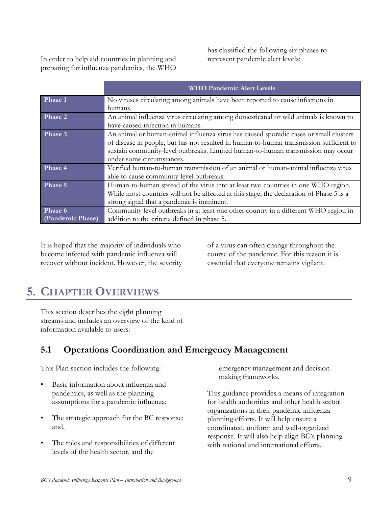In order to help aid countries in planning and preparing for influenza pandemics, the WHO

has classified the following six phases to represent pandemic alert levels:

|                  | <b>WHO Pandemic Alert Levels</b>                                                         |
|------------------|------------------------------------------------------------------------------------------|
| Phase 1          | No viruses circulating among animals have been reported to cause infections in           |
|                  | humans.                                                                                  |
| Phase 2          | An animal influenza virus circulating among domesticated or wild animals is known to     |
|                  | have caused infection in humans.                                                         |
| Phase 3          | An animal or human-animal influenza virus has caused sporadic cases or small clusters    |
|                  | of disease in people, but has not resulted in human-to-human transmission sufficient to  |
|                  | sustain community-level outbreaks. Limited human-to-human transmission may occur         |
|                  | under some circumstances.                                                                |
| Phase 4          | Verified human-to-human transmission of an animal or human-animal influenza virus        |
|                  | able to cause community-level outbreaks.                                                 |
| Phase 5          | Human-to-human spread of the virus into at least two countries in one WHO region.        |
|                  | While most countries will not be affected at this stage, the declaration of Phase 5 is a |
|                  | strong signal that a pandemic is imminent.                                               |
| Phase 6          | Community level outbreaks in at least one other country in a different WHO region in     |
| (Pandemic Phase) | addition to the criteria defined in phase 5.                                             |

It is hoped that the majority of individuals who become infected with pandemic influenza will recover without incident. However, the severity of a virus can often change throughout the course of the pandemic. For this reason it is essential that everyone remains vigilant.

## <span id="page-8-0"></span>**5. CHAPTER OVERVIEWS**

This section describes the eight planning streams and includes an overview of the kind of information available to users:

### <span id="page-8-1"></span>**5.1 Operations Coordination and Emergency Management**

This Plan section includes the following:

- Basic information about influenza and pandemics, as well as the planning assumptions for a pandemic influenza;
- The strategic approach for the BC response; and,
- The roles and responsibilities of different levels of the health sector, and the

emergency management and decisionmaking frameworks.

This guidance provides a means of integration for health authorities and other health sector organizations in their pandemic influenza planning efforts. It will help ensure a coordinated, uniform and well-organized response. It will also help align BC's planning with national and international efforts.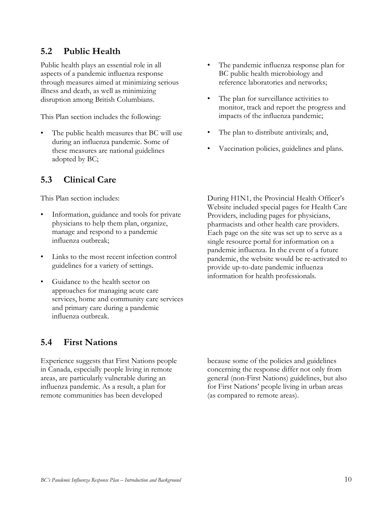#### <span id="page-9-0"></span>**5.2 Public Health**

Public health plays an essential role in all aspects of a pandemic influenza response through measures aimed at minimizing serious illness and death, as well as minimizing disruption among British Columbians.

This Plan section includes the following:

The public health measures that BC will use during an influenza pandemic. Some of these measures are national guidelines adopted by BC;

#### <span id="page-9-1"></span>**5.3 Clinical Care**

This Plan section includes:

- Information, guidance and tools for private physicians to help them plan, organize, manage and respond to a pandemic influenza outbreak;
- Links to the most recent infection control guidelines for a variety of settings.
- Guidance to the health sector on approaches for managing acute care services, home and community care services and primary care during a pandemic influenza outbreak.

#### <span id="page-9-2"></span>**5.4 First Nations**

Experience suggests that First Nations people in Canada, especially people living in remote areas, are particularly vulnerable during an influenza pandemic. As a result, a plan for remote communities has been developed

because some of the policies and guidelines concerning the response differ not only from general (non-First Nations) guidelines, but also for First Nations' people living in urban areas (as compared to remote areas).

- The pandemic influenza response plan for BC public health microbiology and reference laboratories and networks;
- The plan for surveillance activities to monitor, track and report the progress and impacts of the influenza pandemic;
- The plan to distribute antivirals; and,
- Vaccination policies, guidelines and plans.

During H1N1, the Provincial Health Officer's Website included special pages for Health Care Providers, including pages for physicians, pharmacists and other health care providers. Each page on the site was set up to serve as a single resource portal for information on a pandemic influenza. In the event of a future pandemic, the website would be re-activated to provide up-to-date pandemic influenza information for health professionals.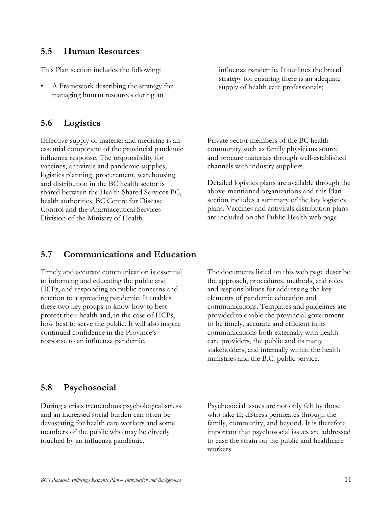#### <span id="page-10-0"></span>**5.5 Human Resources**

This Plan section includes the following:

• A Framework describing the strategy for managing human resources during an

#### <span id="page-10-1"></span>**5.6 Logistics**

Effective supply of materiel and medicine is an essential component of the provincial pandemic influenza response. The responsibility for vaccines, antivirals and pandemic supplies, logistics planning, procurement, warehousing and distribution in the BC health sector is shared between the Health Shared Services BC, health authorities, BC Centre for Disease Control and the Pharmaceutical Services Division of the Ministry of Health.

influenza pandemic. It outlines the broad strategy for ensuring there is an adequate supply of health care professionals;

Private sector members of the BC health community such as family physicians source and procure materials through well-established channels with industry suppliers.

Detailed logistics plans are available through the above-mentioned organizations and this Plan section includes a summary of the key logistics plans. Vaccines and antivirals distribution plans are included on the Public Health web page.

#### <span id="page-10-2"></span>**5.7 Communications and Education**

Timely and accurate communication is essential to informing and educating the public and HCPs, and responding to public concerns and reaction to a spreading pandemic. It enables these two key groups to know how to best protect their health and, in the case of HCPs, how best to serve the public. It will also inspire continued confidence in the Province's response to an influenza pandemic.

The documents listed on this web page describe the approach, procedures, methods, and roles and responsibilities for addressing the key elements of pandemic education and communications. Templates and guidelines are provided to enable the provincial government to be timely, accurate and efficient in its communications both externally with health care providers, the public and its many stakeholders, and internally within the health ministries and the B.C. public service.

#### <span id="page-10-3"></span>**5.8 Psychosocial**

During a crisis tremendous psychological stress and an increased social burden can often be devastating for health care workers and some members of the public who may be directly touched by an influenza pandemic.

Psychosocial issues are not only felt by those who take ill; distress permeates through the family, community, and beyond. It is therefore important that psychosocial issues are addressed to ease the strain on the public and healthcare workers.